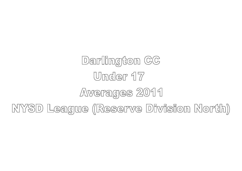## Darlington CC Under 17 Averages 2011 NYSD League (Reserve Division North)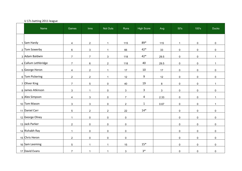## U 17s batting 2011 league

| Name                | Games                   | <b>Inns</b>         | Not Outs            | Runs           | <b>High Score</b> | Avg          | 50's                | 100's               | <b>Ducks</b>        |
|---------------------|-------------------------|---------------------|---------------------|----------------|-------------------|--------------|---------------------|---------------------|---------------------|
|                     |                         |                     |                     |                |                   |              |                     |                     |                     |
| 1 Sam Hardy         | $\overline{4}$          | $\overline{2}$      | $\mathbf{1}$        | 115            | 89*               | 115          | $\mathbf{1}$        | $\mathsf{O}\xspace$ | 0                   |
| 2 Tom Sowerby       | 6                       | $\mathbf{3}$        | $\mathbf{1}$        | 66             | 42*               | 33           | $\mathsf{O}\xspace$ | 0                   | 0                   |
| 3 Adam Baldwin      | $\overline{7}$          | $\overline{7}$      | 3                   | 118            | 42*               | 29.5         | $\mathsf{O}\xspace$ | $\pmb{0}$           | $\mathbf{1}$        |
| 4 Callum Lethbridge | $\overline{7}$          | $\,6\,$             | $\overline{2}$      | 118            | 40                | 29.5         | $\mathsf{O}\xspace$ | $\pmb{0}$           | $\mathbf{1}$        |
| 5 George Heron      | $\overline{\mathbf{4}}$ | $\overline{2}$      | $\mathbf{1}$        | 17             | 10                | 17           | $\mathsf{O}\xspace$ | $\mathsf 0$         | 0                   |
| 6 Tom Pickering     | $\overline{2}$          | $\overline{2}$      | $\mathbf{1}$        | 12             | $\boldsymbol{9}$  | 12           | $\mathsf{O}\xspace$ | $\mathbf 0$         | $\pmb{0}$           |
| 7 Oliver King       | $\overline{7}$          | 5                   | $\mathbf 0$         | 40             | 19                | 8            | $\mathsf{O}\xspace$ | $\mathbf 0$         | $\mathbf{1}$        |
| 8 James Atkinson    | $\mathbf{3}$            | $\mathbf{1}$        | $\mathsf{O}$        | $\mathbf{3}$   | $\mathbf{3}$      | $\mathbf{3}$ | $\mathsf{O}\xspace$ | $\mathsf 0$         | $\pmb{0}$           |
| 9 Alex Simpson      | $\overline{4}$          | $\mathbf{3}$        | $\mathsf{O}$        | $\overline{7}$ | 4                 | 2.33         | $\mathsf{O}$        | $\mathsf{O}\xspace$ | $\mathbf{1}$        |
| 10 Tom Mason        | 3                       | $\mathbf{3}$        | $\mathsf{O}$        | $\overline{2}$ | $\mathbf{1}$      | 0.67         | $\mathsf{O}$        | $\pmb{0}$           | $\mathbf{1}$        |
| 11 Daniel Carr      | 5                       | $\overline{2}$      | $\overline{2}$      | 22             | $14*$             |              | $\pmb{0}$           | $\mathsf{O}\xspace$ | $\mathsf{O}\xspace$ |
| 12 George Olney     | $\mathbf{1}$            | $\mathbf 0$         | $\mathsf{O}$        | $\mathbf 0$    |                   |              | $\mathsf{O}\xspace$ | $\mathsf{O}\xspace$ | 0                   |
| 13 Jack Parker      | $\overline{2}$          | $\mathsf{O}\xspace$ | $\mathsf{O}$        | $\mathbf 0$    |                   |              | 0                   | $\mathsf{O}\xspace$ | 0                   |
| 14 Rishabh Ray      | $\mathbf{1}$            | $\mathsf{O}\xspace$ | $\mathsf{O}\xspace$ | $\pmb{0}$      |                   |              | $\pmb{0}$           | $\mathsf{O}\xspace$ | $\mathsf{O}\xspace$ |
| 15 Chris Heron      | $\overline{2}$          | $\mathsf 0$         | 0                   | $\pmb{0}$      |                   |              | 0                   | $\mathsf 0$         | $\pmb{0}$           |
| 16 Sam Leeming      | $5\phantom{.0}$         | $\mathbf{1}$        | $\mathbf{1}$        | 15             | $15*$             |              | $\mathsf{O}\xspace$ | $\mathsf 0$         | $\mathsf 0$         |
| 17 David Evans      | $\overline{7}$          | $\mathbf{1}$        | $\mathbf{1}$        | $\mathbf{3}$   | $3*$              |              | $\mathsf{O}\xspace$ | $\pmb{0}$           | $\pmb{0}$           |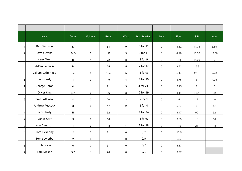|                         | Name                 | Overs          | Maidens      | Runs | <b>Wkts</b>             | <b>Best Bowling</b> | 5WH                 | Econ | $S-R$          | Ave            |
|-------------------------|----------------------|----------------|--------------|------|-------------------------|---------------------|---------------------|------|----------------|----------------|
| $\mathbf{1}$            | <b>Ben Simpson</b>   | 17             | $\mathbf{1}$ | 53   | $\boldsymbol{9}$        | 3 for 12            | $\mathsf{O}\xspace$ | 3.12 | 11.33          | 5.89           |
| 2 <sup>1</sup>          | David Evans          | 24.3           | $\pmb{0}$    | 122  | 9                       | 3 for 17            | $\mathsf{O}\xspace$ | 4.98 | 16.33          | 13.56          |
| 3 <sup>1</sup>          | Harry Weir           | 15             | $\mathbf{1}$ | 72   | 8                       | 3 for 9             | $\mathsf{O}$        | 4.8  | 11.25          | 9              |
| $\overline{\mathbf{4}}$ | Adam Baldwin         | 14             | $\mathbf{1}$ | 55   | 5                       | 2 for 12            | $\mathsf{O}\xspace$ | 3.93 | 16.8           | 11             |
| 5 <sub>l</sub>          | Callum Lethbridge    | 24             | $\pmb{0}$    | 124  | 5                       | 3 for 8             | $\mathsf{O}\xspace$ | 5.17 | 28.8           | 24.8           |
| 6 <sup>1</sup>          | Jack Hardy           | 4              | $\pmb{0}$    | 19   | $\overline{\mathbf{4}}$ | 4 for 19            | $\mathsf{O}\xspace$ | 4.75 | $6\phantom{.}$ | 4.75           |
| $\overline{7}$          | George Heron         | 4              | $\mathbf{1}$ | 21   | 3                       | 3 for 21            | $\mathsf{O}\xspace$ | 5.25 | 8              | $\overline{7}$ |
| 8 <sup>1</sup>          | Oliver King          | 23.1           | $\pmb{0}$    | 96   | 3                       | 2 for 19            | $\mathsf{O}$        | 4.14 | 46.4           | 32             |
| 9 <sup>1</sup>          | James Atkinson       | 4              | $\pmb{0}$    | 20   | $\overline{2}$          | 2for 9              | $\mathsf{O}$        | 5    | 12             | 10             |
| 10                      | Andrew Peacock       | $\mathfrak{S}$ | $\mathsf 0$  | 17   | $\overline{2}$          | 1 for 4             | $\mathsf{O}\xspace$ | 5.67 | 9              | 8.5            |
| 11                      | Sam Hardy            | 15             | 1            | 52   | $\mathbf{1}$            | 1 for 24            | $\mathsf{O}\xspace$ | 3.47 | 90             | 52             |
| 12                      | Daniel Carr          | $\mathbf{3}$   | $\mathbf 0$  | 10   | $\mathbf{1}$            | $1$ for $6$         | $\mathsf{O}$        | 3.33 | 18             | 10             |
| 13                      | Alex Simpson         | $\overline{4}$ | $\pmb{0}$    | 18   | $\mathbf{1}$            | 1 for 18            | $\mathsf{O}\xspace$ | 4.5  | 24             | 18             |
| 14                      | <b>Tom Pickering</b> | $\overline{2}$ | $\mathsf 0$  | 21   | 0                       | 0/21                | $\mathsf{O}$        | 10.5 |                |                |
| 15                      | Tom Sowerby          | $\overline{2}$ | $\pmb{0}$    | 9    | $\pmb{0}$               | 0/9                 | $\mathsf{O}\xspace$ | 4.5  |                |                |
| 16                      | Rob Oliver           | 6              | 0            | 31   | $\mathbf 0$             | 0/7                 | $\mathsf{O}\xspace$ | 5.17 |                |                |
| 17                      | Tom Mason            | 5.2            | $\mathbf 1$  | 20   | $\mathbf 0$             | 0/1                 | $\mathsf{O}\xspace$ | 3.77 |                |                |